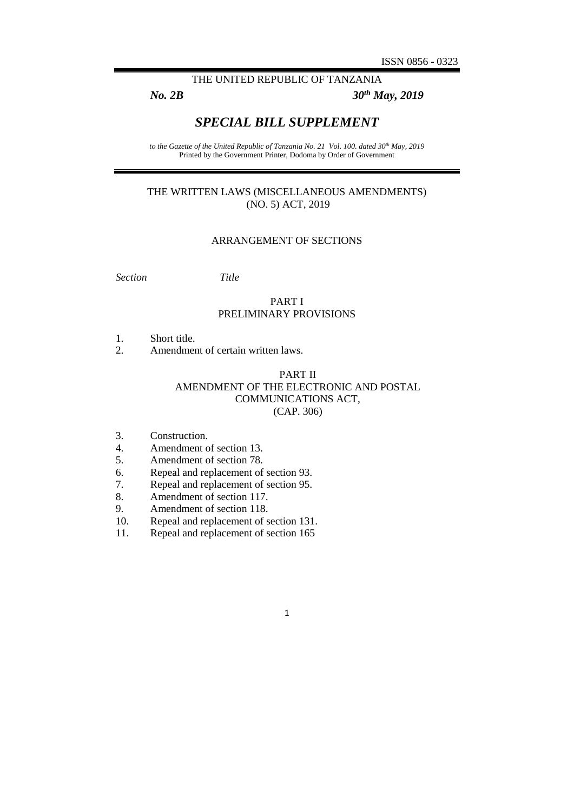## THE UNITED REPUBLIC OF TANZANIA

*No. 2B 30th May, 2019*

# *SPECIAL BILL SUPPLEMENT*

*to the Gazette of the United Republic of Tanzania No. 21 Vol. 100. dated 30th May, 2019* Printed by the Government Printer, Dodoma by Order of Government

## THE WRITTEN LAWS (MISCELLANEOUS AMENDMENTS) (NO. 5) ACT, 2019

#### ARRANGEMENT OF SECTIONS

*Section Title*

## PART I PRELIMINARY PROVISIONS

- 1. Short title.
- 2. Amendment of certain written laws.

## PART II AMENDMENT OF THE ELECTRONIC AND POSTAL COMMUNICATIONS ACT, (CAP. 306)

- 3. Construction.<br>4. Amendment c
- Amendment of section 13.
- 5. Amendment of section 78.
- 6. Repeal and replacement of section 93.
- 7. Repeal and replacement of section 95.
- 8. Amendment of section 117.
- 9. Amendment of section 118.
- 10. Repeal and replacement of section 131.
- 11. Repeal and replacement of section 165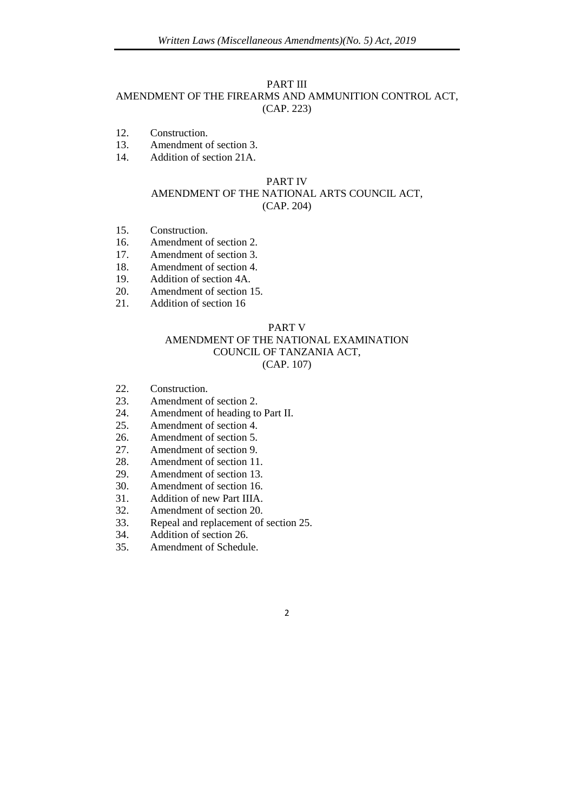#### PART III

### AMENDMENT OF THE FIREARMS AND AMMUNITION CONTROL ACT, (CAP. 223)

- 12. Construction.
- 13. Amendment of section 3.
- 14. Addition of section 21A.

#### PART IV

## AMENDMENT OF THE NATIONAL ARTS COUNCIL ACT, (CAP. 204)

- 15. Construction.
- 16. Amendment of section 2.
- 17. Amendment of section 3.
- 18. Amendment of section 4.
- 19. Addition of section 4A.
- 20. Amendment of section 15.
- 21. Addition of section 16

#### PART V

#### AMENDMENT OF THE NATIONAL EXAMINATION COUNCIL OF TANZANIA ACT, (CAP. 107)

- 22. Construction.
- 23. Amendment of section 2.
- 24. Amendment of heading to Part II.
- 25. Amendment of section 4.
- 26. Amendment of section 5.
- 27. Amendment of section 9.
- 28. Amendment of section 11.
- 29. Amendment of section 13.
- 30. Amendment of section 16.
- 31. Addition of new Part IIIA.
- 32. Amendment of section 20.
- 33. Repeal and replacement of section 25.
- 34. Addition of section 26.
- 35. Amendment of Schedule.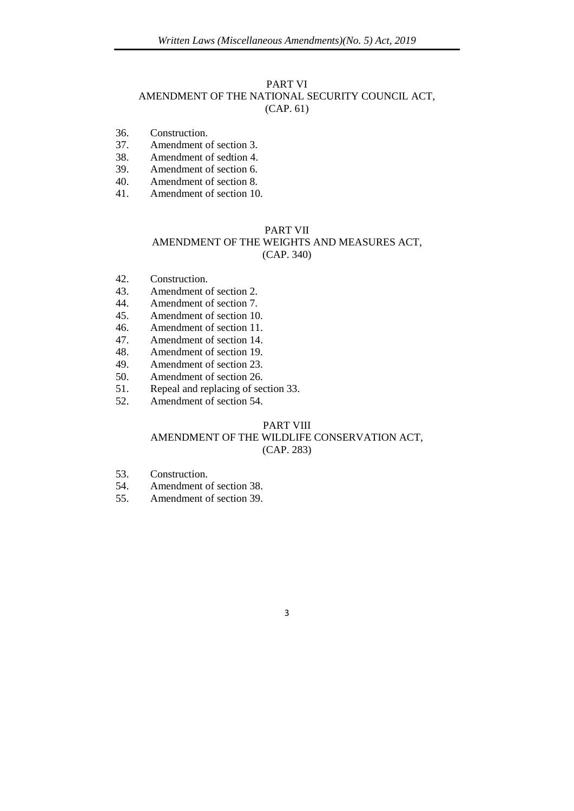# PART VI AMENDMENT OF THE NATIONAL SECURITY COUNCIL ACT,

- (CAP. 61)
- 36. Construction.
- 37. Amendment of section 3.
- 38. Amendment of sedtion 4.
- 39. Amendment of section 6.
- 40. Amendment of section 8.
- 41. Amendment of section 10.

## PART VII

## AMENDMENT OF THE WEIGHTS AND MEASURES ACT, (CAP. 340)

- 42. Construction.
- 43. Amendment of section 2.
- 44. Amendment of section 7.
- 45. Amendment of section 10.
- 46. Amendment of section 11.
- 47. Amendment of section 14.
- 48. Amendment of section 19.
- 49. Amendment of section 23.
- 50. Amendment of section 26.
- 51. Repeal and replacing of section 33.
- 52. Amendment of section 54.

## PART VIII AMENDMENT OF THE WILDLIFE CONSERVATION ACT, (CAP. 283)

- 53. Construction.
- 54. Amendment of section 38.
- 55. Amendment of section 39.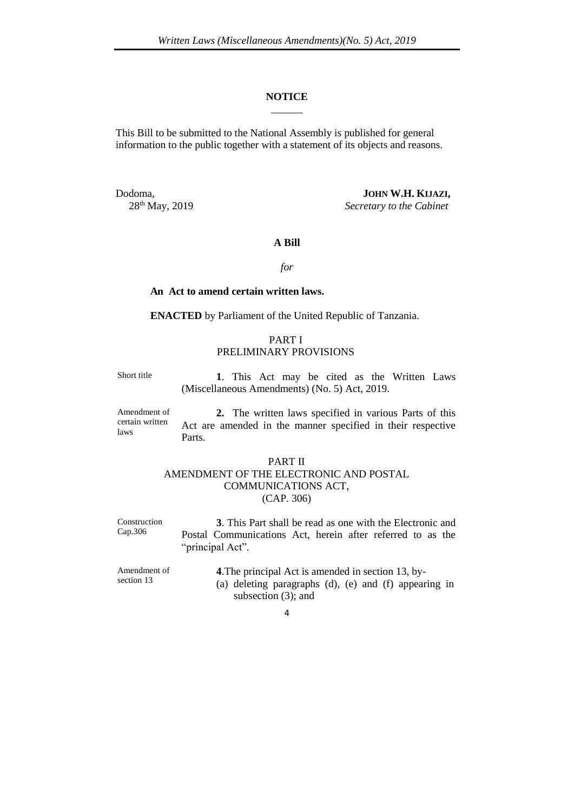#### **NOTICE**  $\overline{\phantom{a}}$

This Bill to be submitted to the National Assembly is published for general information to the public together with a statement of its objects and reasons.

Dodoma, **JOHN W.H. KIJAZI,** 28th May, 2019 *Secretary to the Cabinet*

### **A Bill**

#### *for*

#### **An Act to amend certain written laws.**

**ENACTED** by Parliament of the United Republic of Tanzania.

## PART I PRELIMINARY PROVISIONS

Short title **1**. This Act may be cited as the Written Laws (Miscellaneous Amendments) (No. 5) Act, 2019.

Amendment of certain written laws

**2.** The written laws specified in various Parts of this Act are amended in the manner specified in their respective Parts.

## PART II AMENDMENT OF THE ELECTRONIC AND POSTAL COMMUNICATIONS ACT, (CAP. 306)

Construction Cap.306 **3**. This Part shall be read as one with the Electronic and Postal Communications Act, herein after referred to as the "principal Act".

Amendment of section 13 **4**.The principal Act is amended in section 13, by- (a) deleting paragraphs (d), (e) and (f) appearing in subsection (3); and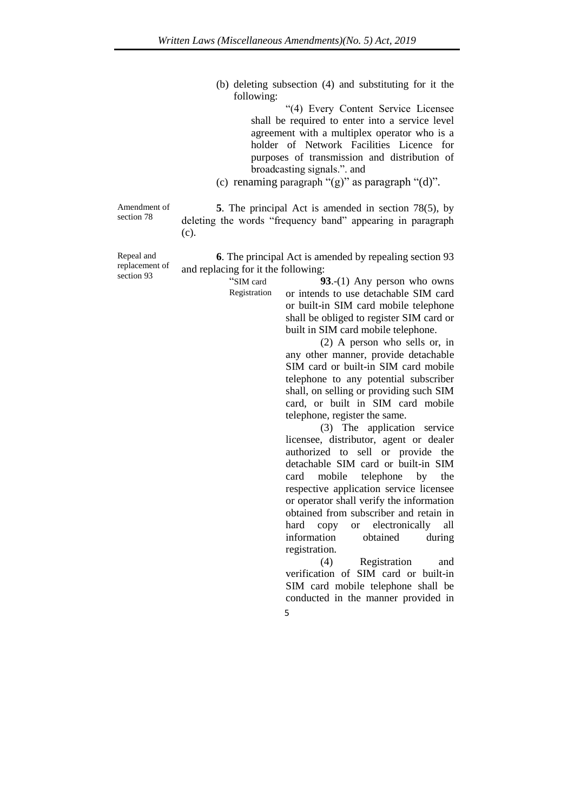(b) deleting subsection (4) and substituting for it the following:

> "(4) Every Content Service Licensee shall be required to enter into a service level agreement with a multiplex operator who is a holder of Network Facilities Licence for purposes of transmission and distribution of broadcasting signals.". and

(c) renaming paragraph " $(g)$ " as paragraph " $(d)$ ".

Amendment of section 78

**5**. The principal Act is amended in section 78(5), by deleting the words "frequency band" appearing in paragraph (c).

Repeal and replacement of section 93

**6**. The principal Act is amended by repealing section 93 and replacing for it the following:

> "SIM card Registration

**93**.-(1) Any person who owns or intends to use detachable SIM card or built-in SIM card mobile telephone shall be obliged to register SIM card or built in SIM card mobile telephone.

(2) A person who sells or, in any other manner, provide detachable SIM card or built-in SIM card mobile telephone to any potential subscriber shall, on selling or providing such SIM card, or built in SIM card mobile telephone, register the same.

(3) The application service licensee, distributor, agent or dealer authorized to sell or provide the detachable SIM card or built-in SIM card mobile telephone by the respective application service licensee or operator shall verify the information obtained from subscriber and retain in hard copy or electronically all information obtained during registration.

(4) Registration and verification of SIM card or built-in SIM card mobile telephone shall be conducted in the manner provided in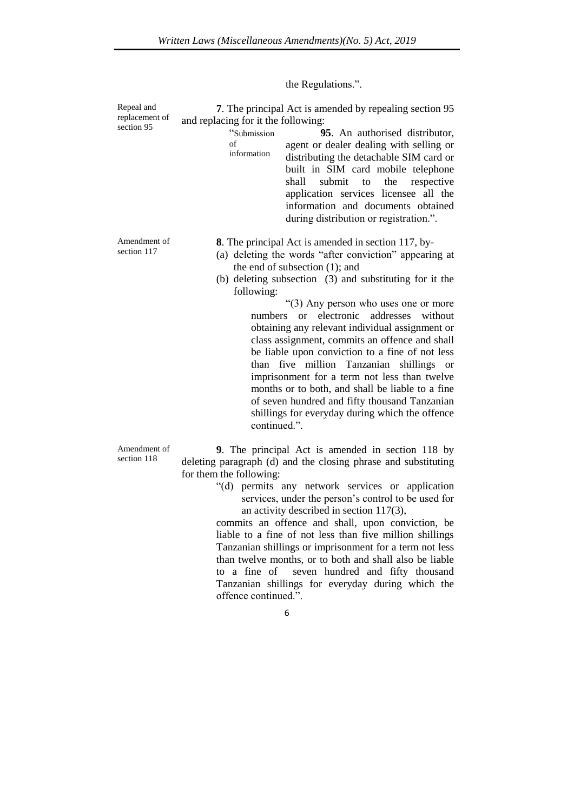the Regulations.".

Repeal and replacement of section 95

Amendment of section 117

**7**. The principal Act is amended by repealing section 95 and replacing for it the following:

> "Submission of information **95**. An authorised distributor, agent or dealer dealing with selling or distributing the detachable SIM card or built in SIM card mobile telephone shall submit to the respective application services licensee all the information and documents obtained during distribution or registration.".

**8**. The principal Act is amended in section 117, by-

- (a) deleting the words "after conviction" appearing at the end of subsection (1); and
- (b) deleting subsection (3) and substituting for it the following:

"(3) Any person who uses one or more numbers or electronic addresses without obtaining any relevant individual assignment or class assignment, commits an offence and shall be liable upon conviction to a fine of not less than five million Tanzanian shillings or imprisonment for a term not less than twelve months or to both, and shall be liable to a fine of seven hundred and fifty thousand Tanzanian shillings for everyday during which the offence continued.".

Amendment of section 118

**9**. The principal Act is amended in section 118 by deleting paragraph (d) and the closing phrase and substituting for them the following:

> "(d) permits any network services or application services, under the person's control to be used for an activity described in section 117(3),

> commits an offence and shall, upon conviction, be liable to a fine of not less than five million shillings Tanzanian shillings or imprisonment for a term not less than twelve months, or to both and shall also be liable to a fine of seven hundred and fifty thousand Tanzanian shillings for everyday during which the offence continued.".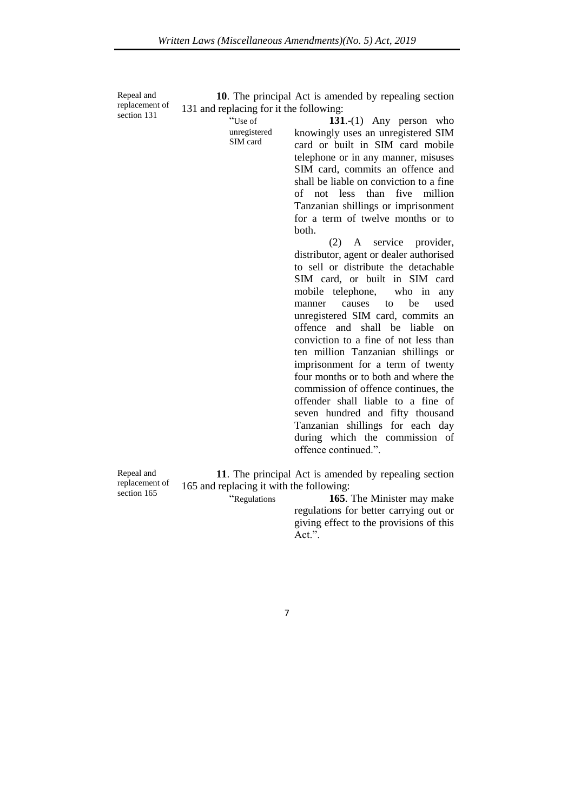Repeal and replacement of section 131

**10**. The principal Act is amended by repealing section 131 and replacing for it the following:

> "Use of unregistered SIM card

**131**.-(1) Any person who knowingly uses an unregistered SIM card or built in SIM card mobile telephone or in any manner, misuses SIM card, commits an offence and shall be liable on conviction to a fine of not less than five million Tanzanian shillings or imprisonment for a term of twelve months or to both.

(2) A service provider, distributor, agent or dealer authorised to sell or distribute the detachable SIM card, or built in SIM card mobile telephone, who in any manner causes to be used unregistered SIM card, commits an offence and shall be liable on conviction to a fine of not less than ten million Tanzanian shillings or imprisonment for a term of twenty four months or to both and where the commission of offence continues, the offender shall liable to a fine of seven hundred and fifty thousand Tanzanian shillings for each day during which the commission of offence continued.".

Repeal and replacement of section 165

**11**. The principal Act is amended by repealing section 165 and replacing it with the following:

"Regulations **165**. The Minister may make regulations for better carrying out or giving effect to the provisions of this Act.".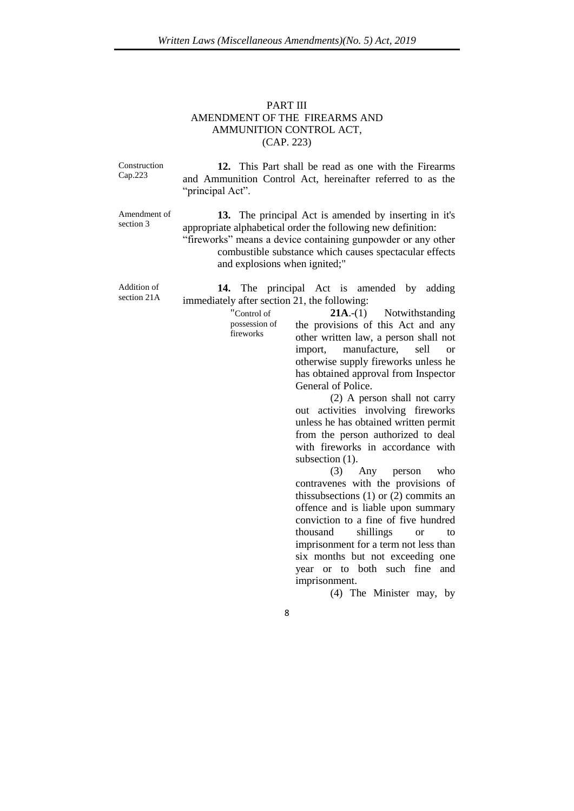## PART III AMENDMENT OF THE FIREARMS AND AMMUNITION CONTROL ACT, (CAP. 223)

Construction Cap.223 **12.** This Part shall be read as one with the Firearms and Ammunition Control Act, hereinafter referred to as the "principal Act".

> "Control of possession of fireworks

Amendment of section 3

**13.** The principal Act is amended by inserting in it's appropriate alphabetical order the following new definition:

"fireworks" means a device containing gunpowder or any other combustible substance which causes spectacular effects and explosions when ignited;"

Addition of section 21A

**14.** The principal Act is amended by adding immediately after section 21, the following:

> **21A**.-(1) Notwithstanding the provisions of this Act and any other written law, a person shall not import, manufacture, sell or otherwise supply fireworks unless he has obtained approval from Inspector General of Police.

(2) A person shall not carry out activities involving fireworks unless he has obtained written permit from the person authorized to deal with fireworks in accordance with subsection  $(1)$ .

(3) Any person who contravenes with the provisions of this subsections  $(1)$  or  $(2)$  commits an offence and is liable upon summary conviction to a fine of five hundred thousand shillings or to imprisonment for a term not less than six months but not exceeding one year or to both such fine and imprisonment.

(4) The Minister may, by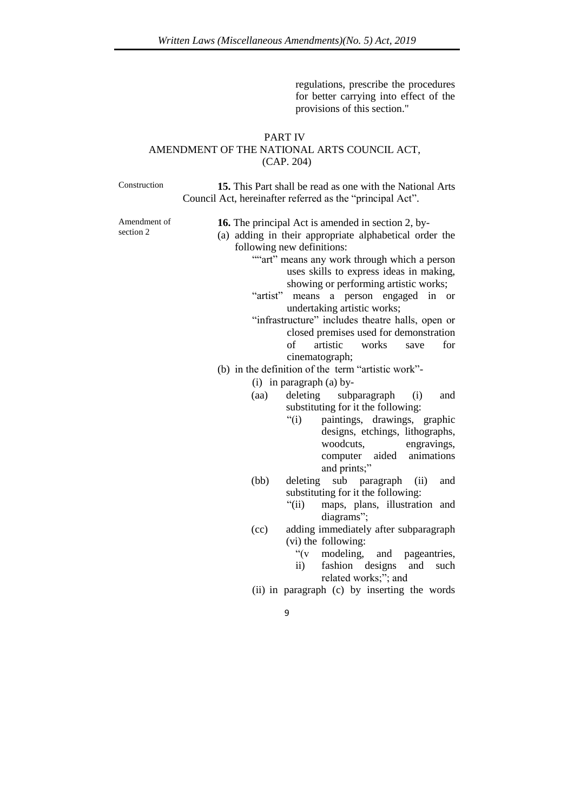regulations, prescribe the procedures for better carrying into effect of the provisions of this section."

#### PART IV

## AMENDMENT OF THE NATIONAL ARTS COUNCIL ACT, (CAP. 204)

Construction **15.** This Part shall be read as one with the National Arts Council Act, hereinafter referred as the "principal Act".

Amendment of section 2

**16.** The principal Act is amended in section 2, by- (a) adding in their appropriate alphabetical order the following new definitions:

- ""art" means any work through which a person uses skills to express ideas in making, showing or performing artistic works;
- "artist" means a person engaged in or undertaking artistic works;
- "infrastructure" includes theatre halls, open or closed premises used for demonstration of artistic works save for cinematograph;
- (b) in the definition of the term "artistic work"-
	- (i) in paragraph (a) by-
	- (aa) deleting subparagraph (i) and substituting for it the following:
		- "(i) paintings, drawings, graphic designs, etchings, lithographs, woodcuts, engravings, computer aided animations and prints;"
	- (bb) deleting sub paragraph (ii) and substituting for it the following:
		- "(ii) maps, plans, illustration and diagrams";
	- (cc) adding immediately after subparagraph (vi) the following:
		- $\mathcal{C}(V)$ modeling, and pageantries,
		- ii) fashion designs and such related works;"; and
	- (ii) in paragraph (c) by inserting the words
		- 9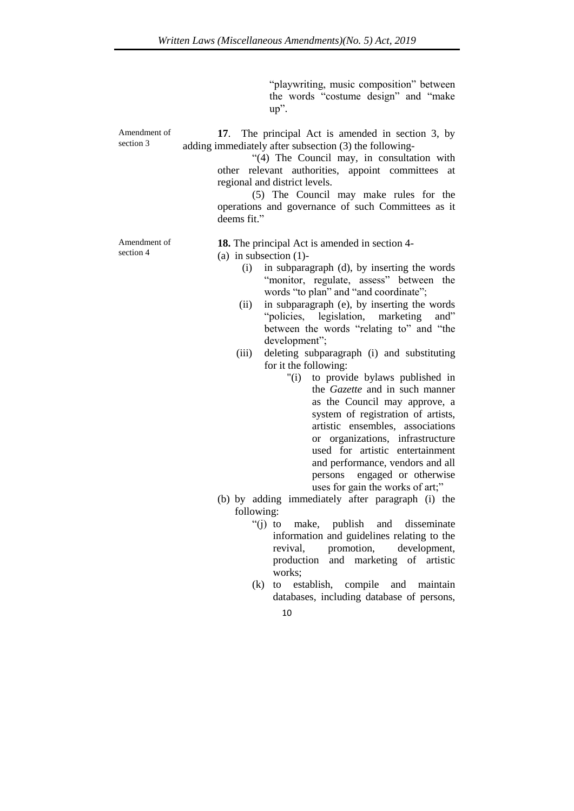"playwriting, music composition" between the words "costume design" and "make up".

Amendment of section 3 **17**. The principal Act is amended in section 3, by adding immediately after subsection (3) the following-

> "(4) The Council may, in consultation with other relevant authorities, appoint committees at regional and district levels.

> (5) The Council may make rules for the operations and governance of such Committees as it deems fit."

Amendment of section 4

**18.** The principal Act is amended in section 4-

- (a) in subsection (1)-
	- (i) in subparagraph (d), by inserting the words "monitor, regulate, assess" between the words "to plan" and "and coordinate";
	- (ii) in subparagraph (e), by inserting the words "policies, legislation, marketing and" between the words "relating to" and "the development";
	- (iii) deleting subparagraph (i) and substituting for it the following:
		- "(i) to provide bylaws published in the *Gazette* and in such manner as the Council may approve, a system of registration of artists, artistic ensembles, associations or organizations, infrastructure used for artistic entertainment and performance, vendors and all persons engaged or otherwise uses for gain the works of art;"
- (b) by adding immediately after paragraph (i) the following:
	- "(j) to make, publish and disseminate information and guidelines relating to the revival, promotion, development, production and marketing of artistic works;
	- (k) to establish, compile and maintain databases, including database of persons,
		- 10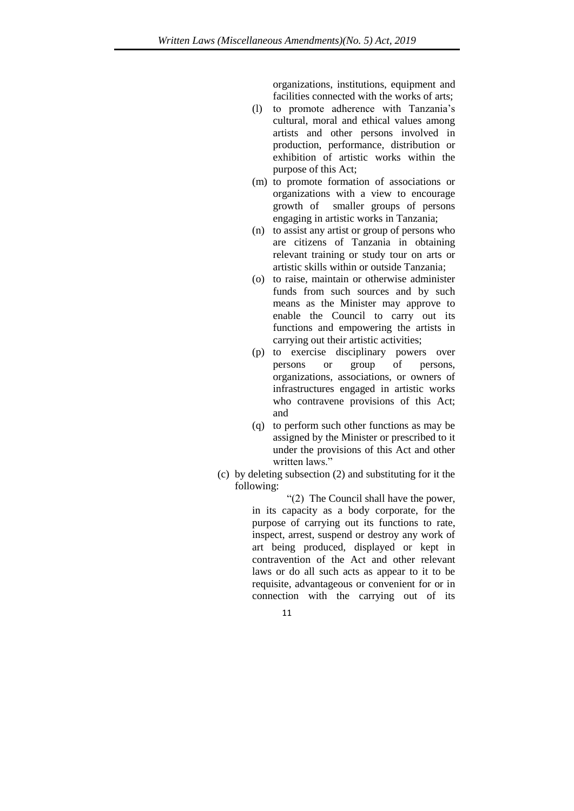organizations, institutions, equipment and facilities connected with the works of arts;

- (l) to promote adherence with Tanzania's cultural, moral and ethical values among artists and other persons involved in production, performance, distribution or exhibition of artistic works within the purpose of this Act;
- (m) to promote formation of associations or organizations with a view to encourage growth of smaller groups of persons engaging in artistic works in Tanzania;
- (n) to assist any artist or group of persons who are citizens of Tanzania in obtaining relevant training or study tour on arts or artistic skills within or outside Tanzania;
- (o) to raise, maintain or otherwise administer funds from such sources and by such means as the Minister may approve to enable the Council to carry out its functions and empowering the artists in carrying out their artistic activities;
- (p) to exercise disciplinary powers over persons or group of persons, organizations, associations, or owners of infrastructures engaged in artistic works who contravene provisions of this Act; and
- (q) to perform such other functions as may be assigned by the Minister or prescribed to it under the provisions of this Act and other written laws."
- (c) by deleting subsection (2) and substituting for it the following:

"(2) The Council shall have the power, in its capacity as a body corporate, for the purpose of carrying out its functions to rate, inspect, arrest, suspend or destroy any work of art being produced, displayed or kept in contravention of the Act and other relevant laws or do all such acts as appear to it to be requisite, advantageous or convenient for or in connection with the carrying out of its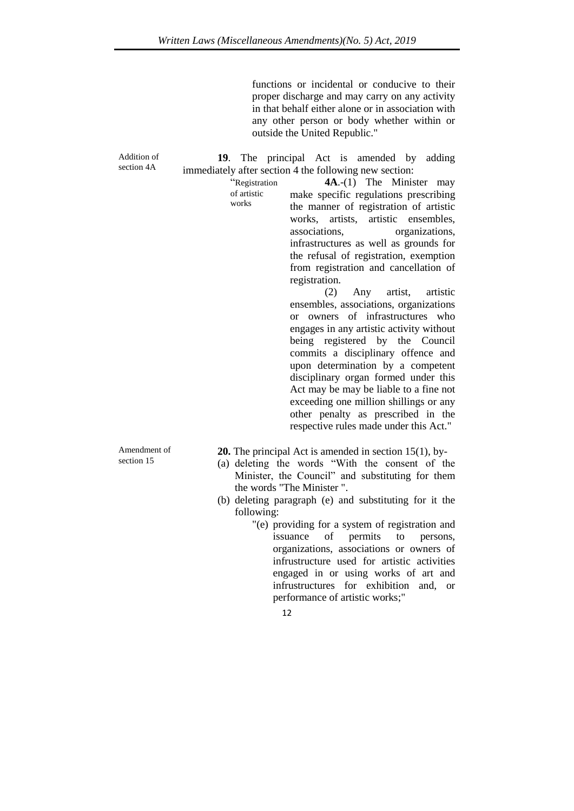functions or incidental or conducive to their proper discharge and may carry on any activity in that behalf either alone or in association with any other person or body whether within or outside the United Republic."

Addition of section 4A

section 15

**19**. The principal Act is amended by adding immediately after section 4 the following new section: "Registration

**4A**.-(1) The Minister may make specific regulations prescribing the manner of registration of artistic works, artists, artistic ensembles, associations, organizations, infrastructures as well as grounds for the refusal of registration, exemption from registration and cancellation of registration.

(2) Any artist, artistic ensembles, associations, organizations or owners of infrastructures who engages in any artistic activity without being registered by the Council commits a disciplinary offence and upon determination by a competent disciplinary organ formed under this Act may be may be liable to a fine not exceeding one million shillings or any other penalty as prescribed in the respective rules made under this Act."

Amendment of **20.** The principal Act is amended in section 15(1), by-

of artistic works

- (a) deleting the words "With the consent of the Minister, the Council" and substituting for them the words "The Minister ".
- (b) deleting paragraph (e) and substituting for it the following:
	- "(e) providing for a system of registration and issuance of permits to persons, organizations, associations or owners of infrustructure used for artistic activities engaged in or using works of art and infrustructures for exhibition and, or performance of artistic works;"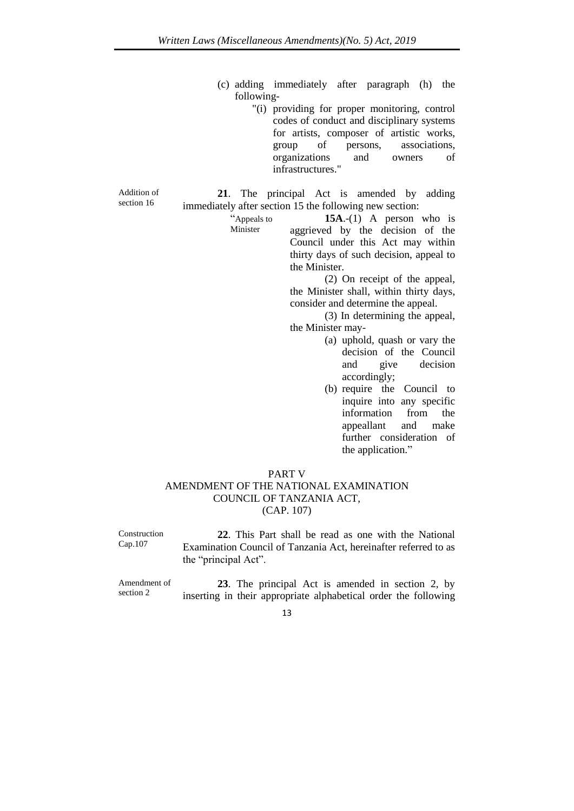- (c) adding immediately after paragraph (h) the following-
	- "(i) providing for proper monitoring, control codes of conduct and disciplinary systems for artists, composer of artistic works, group of persons, associations, organizations and owners of infrastructures."

Addition of section 16

**21**. The principal Act is amended by adding immediately after section 15 the following new section:

Minister

"Appeals to **15A**.-(1) A person who is aggrieved by the decision of the Council under this Act may within thirty days of such decision, appeal to the Minister.

(2) On receipt of the appeal, the Minister shall, within thirty days, consider and determine the appeal.

(3) In determining the appeal, the Minister may-

- (a) uphold, quash or vary the decision of the Council and give decision accordingly;
- (b) require the Council to inquire into any specific information from the appeallant and make further consideration of the application."

#### PART V

## AMENDMENT OF THE NATIONAL EXAMINATION COUNCIL OF TANZANIA ACT, (CAP. 107)

Construction Cap.107

**22**. This Part shall be read as one with the National Examination Council of Tanzania Act, hereinafter referred to as the "principal Act".

Amendment of section 2

**23**. The principal Act is amended in section 2, by inserting in their appropriate alphabetical order the following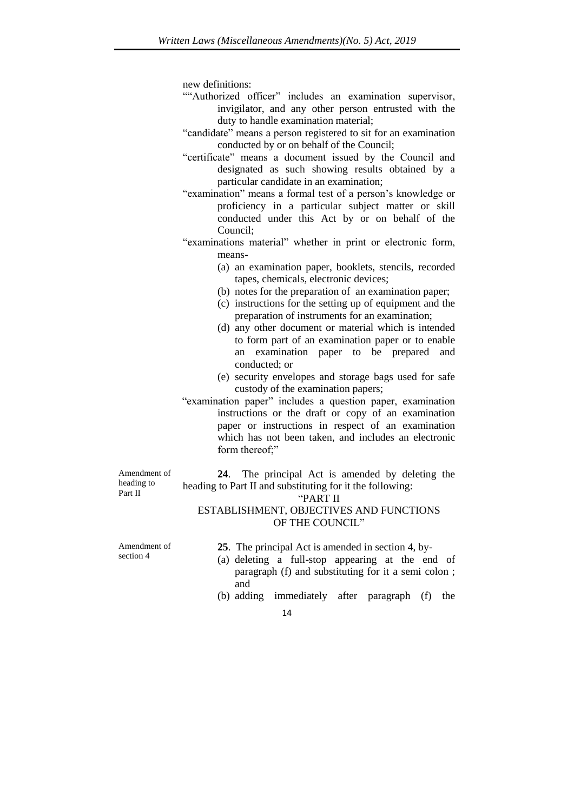new definitions:

- ""Authorized officer" includes an examination supervisor, invigilator, and any other person entrusted with the duty to handle examination material;
- "candidate" means a person registered to sit for an examination conducted by or on behalf of the Council;
- "certificate" means a document issued by the Council and designated as such showing results obtained by a particular candidate in an examination;
- "examination" means a formal test of a person's knowledge or proficiency in a particular subject matter or skill conducted under this Act by or on behalf of the Council;
- "examinations material" whether in print or electronic form, means-
	- (a) an examination paper, booklets, stencils, recorded tapes, chemicals, electronic devices;
	- (b) notes for the preparation of an examination paper;
	- (c) instructions for the setting up of equipment and the preparation of instruments for an examination;
	- (d) any other document or material which is intended to form part of an examination paper or to enable an examination paper to be prepared and conducted; or
	- (e) security envelopes and storage bags used for safe custody of the examination papers;
- "examination paper" includes a question paper, examination instructions or the draft or copy of an examination paper or instructions in respect of an examination which has not been taken, and includes an electronic form thereof;"

Amendment of heading to Part II

**24**. The principal Act is amended by deleting the heading to Part II and substituting for it the following:

#### "PART II

## ESTABLISHMENT, OBJECTIVES AND FUNCTIONS OF THE COUNCIL"

Amendment of section 4

**25**. The principal Act is amended in section 4, by-

- (a) deleting a full-stop appearing at the end of paragraph (f) and substituting for it a semi colon ; and
- (b) adding immediately after paragraph (f) the
	- 14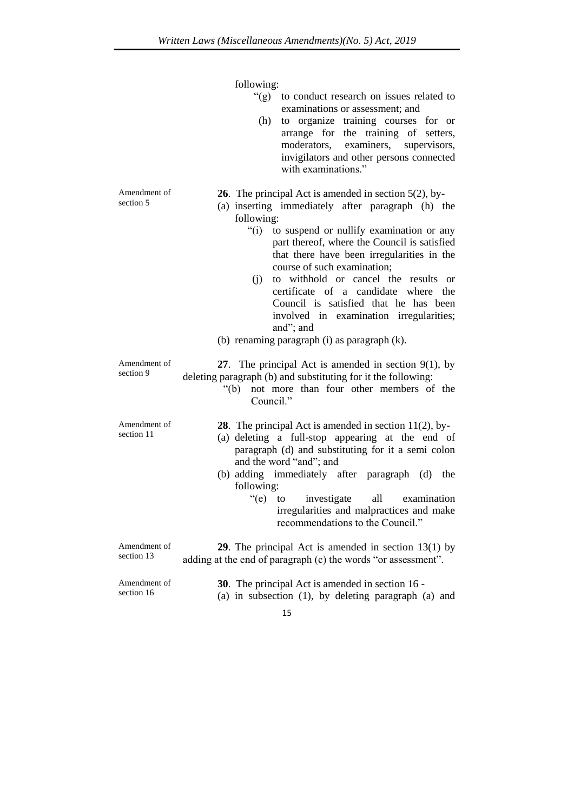|                            | following:<br>" $(g)$ "<br>to conduct research on issues related to<br>examinations or assessment; and<br>to organize training courses for or<br>(h)<br>arrange for the training of setters,<br>examiners, supervisors,<br>moderators,<br>invigilators and other persons connected<br>with examinations."                                                                                                                                                                                                                                                                |
|----------------------------|--------------------------------------------------------------------------------------------------------------------------------------------------------------------------------------------------------------------------------------------------------------------------------------------------------------------------------------------------------------------------------------------------------------------------------------------------------------------------------------------------------------------------------------------------------------------------|
| Amendment of<br>section 5  | <b>26</b> . The principal Act is amended in section $5(2)$ , by-<br>(a) inserting immediately after paragraph (h) the<br>following:<br>$\degree$ (i)<br>to suspend or nullify examination or any<br>part thereof, where the Council is satisfied<br>that there have been irregularities in the<br>course of such examination;<br>to withhold or cancel the results or<br>(j)<br>certificate of a candidate where<br>the<br>Council is satisfied that he has been<br>involved in examination irregularities;<br>and"; and<br>(b) renaming paragraph (i) as paragraph (k). |
| Amendment of<br>section 9  | 27. The principal Act is amended in section $9(1)$ , by<br>deleting paragraph (b) and substituting for it the following:<br>not more than four other members of the<br>" $(b)$<br>Council."                                                                                                                                                                                                                                                                                                                                                                              |
| Amendment of<br>section 11 | <b>28</b> . The principal Act is amended in section $11(2)$ , by-<br>(a) deleting a full-stop appearing at the end of<br>paragraph (d) and substituting for it a semi colon<br>and the word "and"; and<br>(b) adding immediately after paragraph (d) the<br>following:<br>" $(e)$ to<br>investigate<br>all<br>examination<br>irregularities and malpractices and make<br>recommendations to the Council."                                                                                                                                                                |
| Amendment of<br>section 13 | <b>29.</b> The principal Act is amended in section $13(1)$ by<br>adding at the end of paragraph (c) the words "or assessment".                                                                                                                                                                                                                                                                                                                                                                                                                                           |
| Amendment of<br>section 16 | <b>30</b> . The principal Act is amended in section 16 -<br>(a) in subsection $(1)$ , by deleting paragraph $(a)$ and                                                                                                                                                                                                                                                                                                                                                                                                                                                    |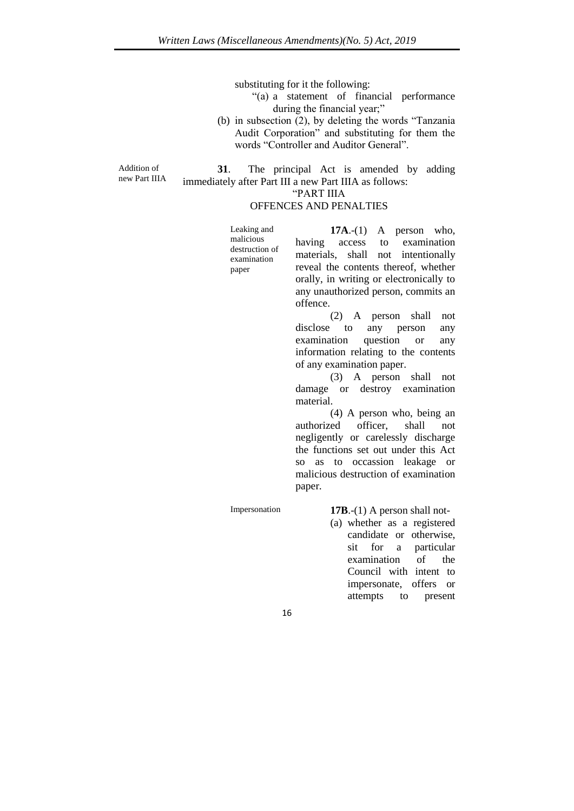substituting for it the following:

- "(a) a statement of financial performance during the financial year;"
- (b) in subsection (2), by deleting the words "Tanzania Audit Corporation" and substituting for them the words "Controller and Auditor General".

Addition of new Part IIIA

**31**. The principal Act is amended by adding immediately after Part III a new Part IIIA as follows:

"PART IIIA

offence.

## OFFENCES AND PENALTIES

| Leaking and                 |                                         | $17A$ .-(1) A person who, |  |  |  |
|-----------------------------|-----------------------------------------|---------------------------|--|--|--|
| malicious<br>destruction of | having access to examination            |                           |  |  |  |
| examination                 | materials, shall not intentionally      |                           |  |  |  |
| paper                       | reveal the contents thereof, whether    |                           |  |  |  |
|                             | orally, in writing or electronically to |                           |  |  |  |

(2) A person shall not disclose to any person any examination question or any information relating to the contents of any examination paper.

any unauthorized person, commits an

(3) A person shall not damage or destroy examination material.

(4) A person who, being an authorized officer, shall not negligently or carelessly discharge the functions set out under this Act so as to occassion leakage or malicious destruction of examination paper.

Impersonation **17B**.-(1) A person shall not-

(a) whether as a registered candidate or otherwise, sit for a particular examination of the Council with intent to impersonate, offers or attempts to present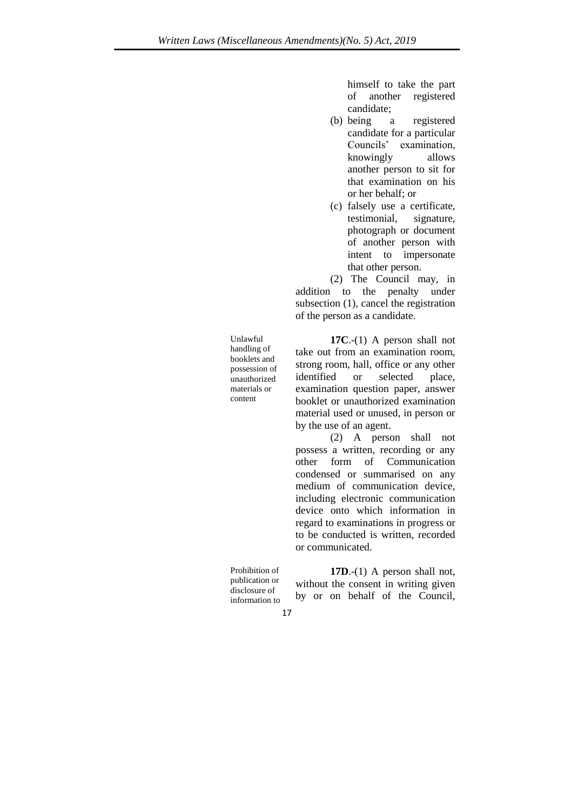himself to take the part of another registered candidate;

- (b) being a registered candidate for a particular Councils' examination, knowingly allows another person to sit for that examination on his or her behalf; or
- (c) falsely use a certificate, testimonial, signature, photograph or document of another person with intent to impersonate that other person.

(2) The Council may, in addition to the penalty under subsection (1), cancel the registration of the person as a candidate.

**17C**.-(1) A person shall not take out from an examination room, strong room, hall, office or any other identified or selected place, examination question paper, answer booklet or unauthorized examination material used or unused, in person or by the use of an agent.

(2) A person shall not possess a written, recording or any other form of Communication condensed or summarised on any medium of communication device, including electronic communication device onto which information in regard to examinations in progress or to be conducted is written, recorded or communicated.

Prohibition of publication or disclosure of information to

Unlawful handling of booklets and possession of unauthorized materials or content

> **17D**.-(1) A person shall not, without the consent in writing given by or on behalf of the Council,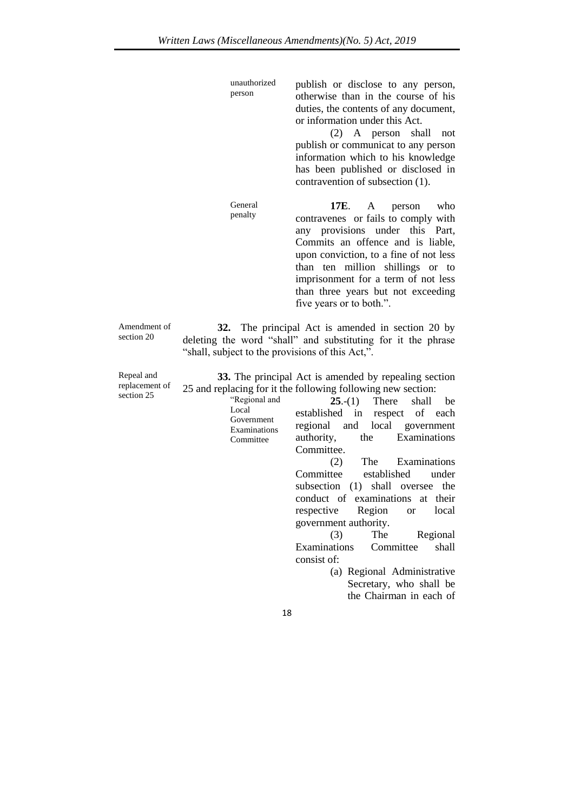unauthorized person publish or disclose to any person, otherwise than in the course of his duties, the contents of any document, or information under this Act. (2) A person shall not publish or communicat to any person information which to his knowledge has been published or disclosed in contravention of subsection (1). General penalty **17E**. A person who contravenes or fails to comply with any provisions under this Part, Commits an offence and is liable, upon conviction, to a fine of not less than ten million shillings or to imprisonment for a term of not less than three years but not exceeding five years or to both.". **32.** The principal Act is amended in section 20 by deleting the word "shall" and substituting for it the phrase "shall, subject to the provisions of this Act,". **33.** The principal Act is amended by repealing section 25 and replacing for it the following following new section:

| $5$ culture $2J$ | "Regional and                           | $25-(1)$ There shall be                                                                                                                                                                                                                                                                                                                                                        |
|------------------|-----------------------------------------|--------------------------------------------------------------------------------------------------------------------------------------------------------------------------------------------------------------------------------------------------------------------------------------------------------------------------------------------------------------------------------|
|                  | Local                                   | established in respect of each                                                                                                                                                                                                                                                                                                                                                 |
|                  | Government<br>Examinations<br>Committee | regional and local government<br>authority, the Examinations<br>Committee.<br>(2) The Examinations<br>Committee established<br>under<br>subsection (1) shall oversee the<br>conduct of examinations at their<br>respective Region or local<br>government authority.<br>Regional<br>(3)<br>The<br>Examinations Committee<br>shall<br>consist of:<br>(a) Regional Administrative |
|                  |                                         | Secretary, who shall be                                                                                                                                                                                                                                                                                                                                                        |
|                  |                                         | the Chairman in each of                                                                                                                                                                                                                                                                                                                                                        |

Amendment of section 20

Repeal and replacement of section 25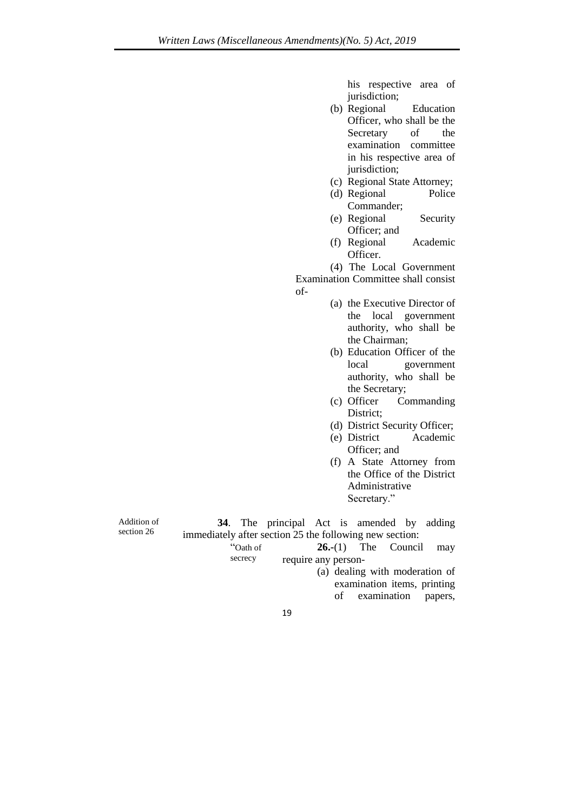his respective area of jurisdiction;

- (b) Regional Education Officer, who shall be the Secretary of the examination committee in his respective area of jurisdiction;
- (c) Regional State Attorney;
- (d) Regional Police Commander;
- (e) Regional Security Officer; and
- (f) Regional Academic Officer.

(4) The Local Government Examination Committee shall consist

- of-
- (a) the Executive Director of the local government authority, who shall be the Chairman;
- (b) Education Officer of the local government authority, who shall be the Secretary;
- (c) Officer Commanding District;
- (d) District Security Officer;
- (e) District Academic Officer; and
- (f) A State Attorney from the Office of the District Administrative Secretary."

Addition of section 26

**34**. The principal Act is amended by adding immediately after section 25 the following new section: "Oath of **26.-**(1) The Council may

secrecy require any person-

- (a) dealing with moderation of examination items, printing of examination papers,
- 19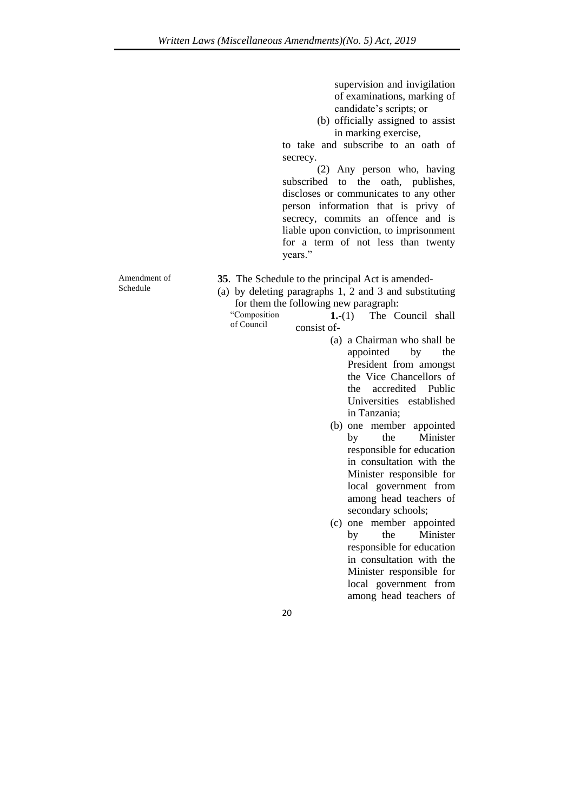supervision and invigilation of examinations, marking of candidate's scripts; or

(b) officially assigned to assist in marking exercise,

to take and subscribe to an oath of secrecy.

(2) Any person who, having subscribed to the oath, publishes, discloses or communicates to any other person information that is privy of secrecy, commits an offence and is liable upon conviction, to imprisonment for a term of not less than twenty years."

Amendment of Schedule

- **35**. The Schedule to the principal Act is amended-
- (a) by deleting paragraphs 1, 2 and 3 and substituting for them the following new paragraph:

"Composition of Council **1.-**(1) The Council shall consist of-

- (a) a Chairman who shall be appointed by the President from amongst the Vice Chancellors of the accredited Public Universities established in Tanzania;
- (b) one member appointed by the Minister responsible for education in consultation with the Minister responsible for local government from among head teachers of secondary schools;
- (c) one member appointed by the Minister responsible for education in consultation with the Minister responsible for local government from among head teachers of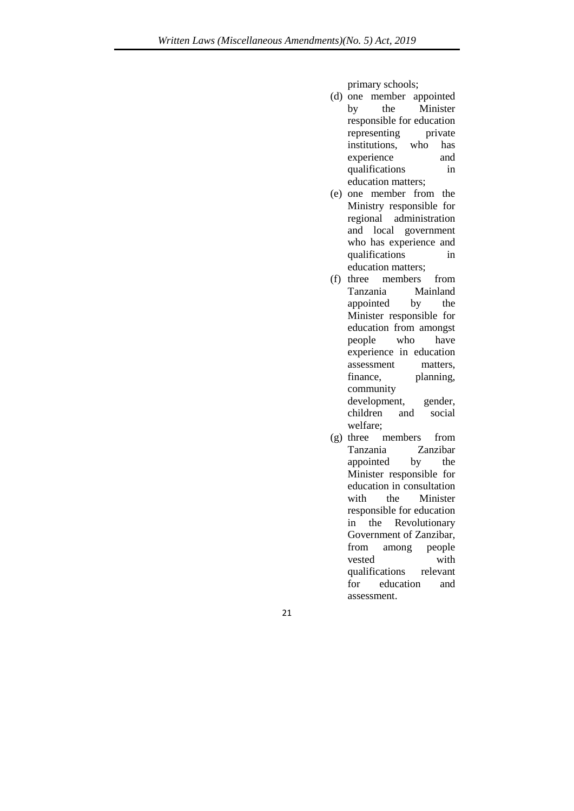primary schools;

- (d) one member appointed by the Minister responsible for education representing private institutions, who has experience and qualifications in education matters;
- (e) one member from the Ministry responsible for regional administration and local government who has experience and qualifications in education matters;
- (f) three members from Tanzania Mainland appointed by the Minister responsible for education from amongst people who have experience in education assessment matters, finance, planning, community development, gender, children and social welfare;
- (g) three members from Tanzania Zanzibar appointed by the Minister responsible for education in consultation with the Minister responsible for education in the Revolutionary Government of Zanzibar, from among people vested with qualifications relevant for education and assessment.
- 21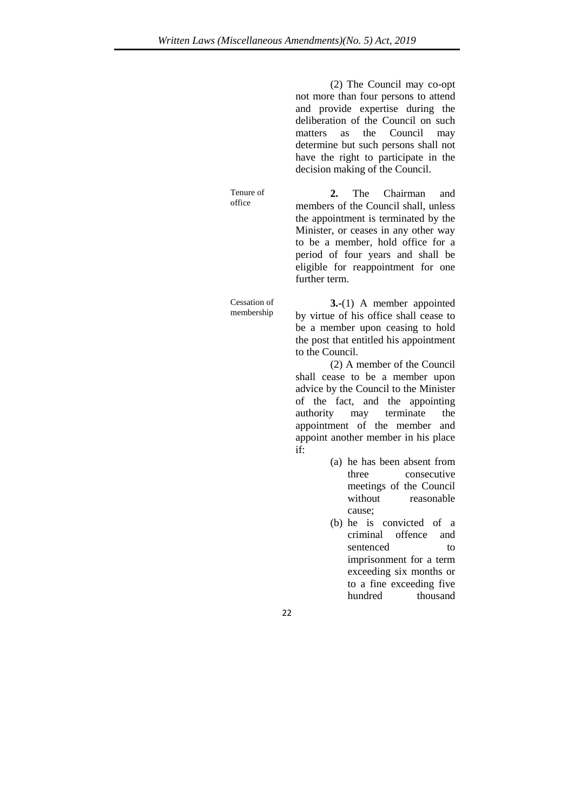(2) The Council may co-opt not more than four persons to attend and provide expertise during the deliberation of the Council on such matters as the Council may determine but such persons shall not have the right to participate in the decision making of the Council.

**2.** The Chairman and members of the Council shall, unless the appointment is terminated by the Minister, or ceases in any other way to be a member, hold office for a period of four years and shall be eligible for reappointment for one further term.

**3.-**(1) A member appointed by virtue of his office shall cease to be a member upon ceasing to hold the post that entitled his appointment to the Council.

(2) A member of the Council shall cease to be a member upon advice by the Council to the Minister of the fact, and the appointing authority may terminate the appointment of the member and appoint another member in his place if:

- (a) he has been absent from three consecutive meetings of the Council without reasonable cause;
- (b) he is convicted of a criminal offence and sentenced to imprisonment for a term exceeding six months or to a fine exceeding five hundred thousand

Tenure of office

Cessation of membership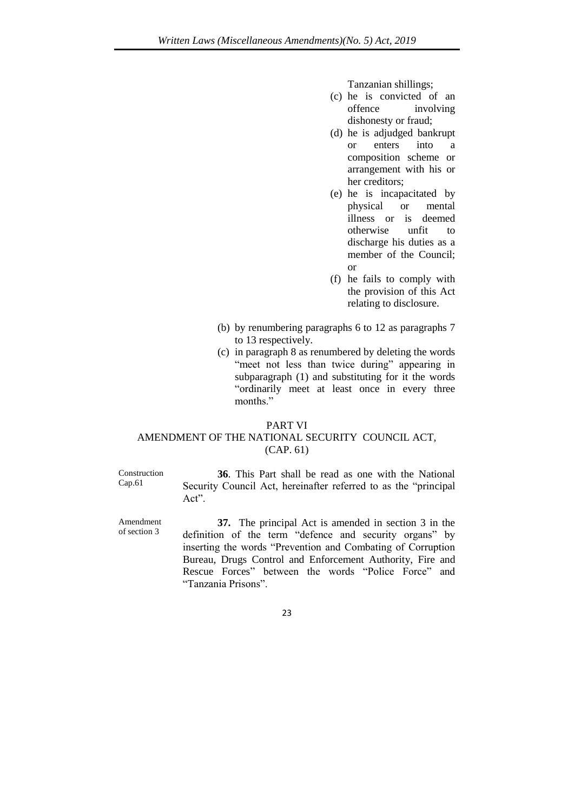Tanzanian shillings;

- (c) he is convicted of an offence involving dishonesty or fraud;
- (d) he is adjudged bankrupt or enters into a composition scheme or arrangement with his or her creditors;
- (e) he is incapacitated by physical or mental illness or is deemed otherwise unfit to discharge his duties as a member of the Council; or
- (f) he fails to comply with the provision of this Act relating to disclosure.
- (b) by renumbering paragraphs 6 to 12 as paragraphs 7 to 13 respectively.
- (c) in paragraph 8 as renumbered by deleting the words "meet not less than twice during" appearing in subparagraph (1) and substituting for it the words "ordinarily meet at least once in every three months."

#### PART VI

## AMENDMENT OF THE NATIONAL SECURITY COUNCIL ACT, (CAP. 61)

Construction Cap.61

Amendment of section 3

**36**. This Part shall be read as one with the National Security Council Act, hereinafter referred to as the "principal Act".

**37.** The principal Act is amended in section 3 in the definition of the term "defence and security organs" by inserting the words "Prevention and Combating of Corruption Bureau, Drugs Control and Enforcement Authority, Fire and Rescue Forces" between the words "Police Force" and "Tanzania Prisons".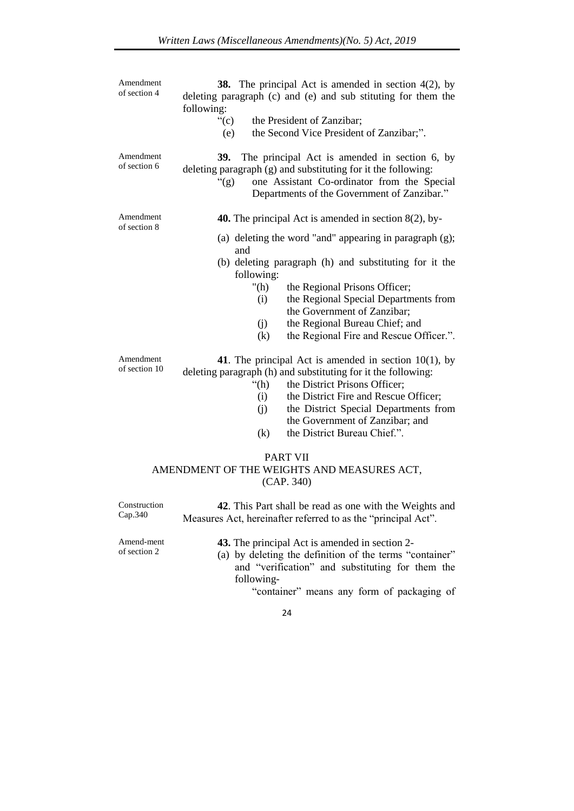| Amendment<br>of section 4                                                   | <b>38.</b> The principal Act is amended in section $4(2)$ , by<br>deleting paragraph (c) and (e) and sub stituting for them the<br>following:                                                                                                                                                                                                            |  |  |  |
|-----------------------------------------------------------------------------|----------------------------------------------------------------------------------------------------------------------------------------------------------------------------------------------------------------------------------------------------------------------------------------------------------------------------------------------------------|--|--|--|
|                                                                             | ``(c)<br>the President of Zanzibar;<br>the Second Vice President of Zanzibar;".<br>(e)                                                                                                                                                                                                                                                                   |  |  |  |
| Amendment<br>of section 6                                                   | 39.<br>The principal Act is amended in section 6, by<br>deleting paragraph (g) and substituting for it the following:<br>" $(g)$ "<br>one Assistant Co-ordinator from the Special<br>Departments of the Government of Zanzibar."                                                                                                                         |  |  |  |
| Amendment<br>of section 8                                                   | <b>40.</b> The principal Act is amended in section $8(2)$ , by-                                                                                                                                                                                                                                                                                          |  |  |  |
|                                                                             | (a) deleting the word "and" appearing in paragraph $(g)$ ;<br>and                                                                                                                                                                                                                                                                                        |  |  |  |
|                                                                             | (b) deleting paragraph (h) and substituting for it the<br>following:<br>" $(h)$<br>the Regional Prisons Officer;<br>the Regional Special Departments from<br>(i)<br>the Government of Zanzibar;<br>the Regional Bureau Chief; and<br>(j)                                                                                                                 |  |  |  |
|                                                                             | (k)<br>the Regional Fire and Rescue Officer.".                                                                                                                                                                                                                                                                                                           |  |  |  |
| Amendment<br>of section 10                                                  | 41. The principal Act is amended in section $10(1)$ , by<br>deleting paragraph (h) and substituting for it the following:<br>the District Prisons Officer;<br>$\mathrm{``(h)}$<br>the District Fire and Rescue Officer;<br>(i)<br>the District Special Departments from<br>(i)<br>the Government of Zanzibar; and<br>the District Bureau Chief.".<br>(k) |  |  |  |
| <b>PART VII</b><br>AMENDMENT OF THE WEIGHTS AND MEASURES ACT,<br>(CAP. 340) |                                                                                                                                                                                                                                                                                                                                                          |  |  |  |
| Construction<br>Cap.340                                                     | 42. This Part shall be read as one with the Weights and<br>Measures Act, hereinafter referred to as the "principal Act".                                                                                                                                                                                                                                 |  |  |  |
| Amend-ment<br>of section 2                                                  | 43. The principal Act is amended in section 2-<br>(a) by deleting the definition of the terms "container"<br>and "verification" and substituting for them the                                                                                                                                                                                            |  |  |  |

24

"container" means any form of packaging of

following-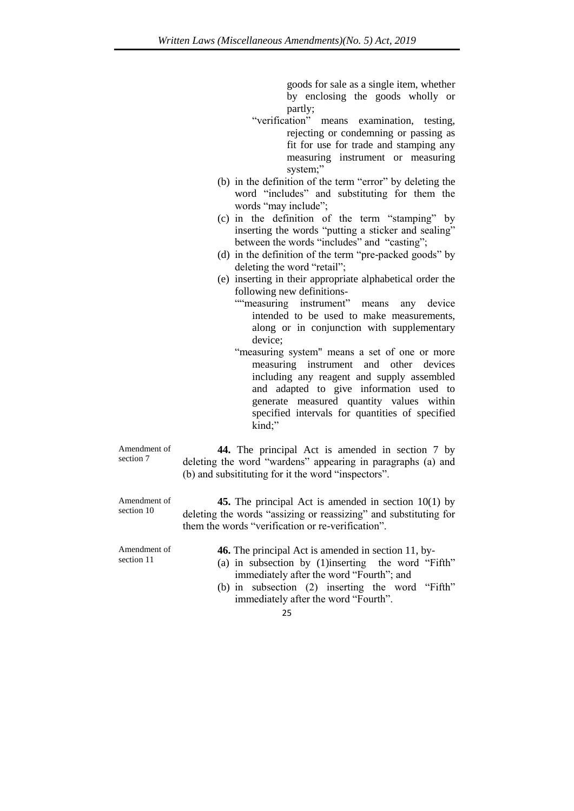goods for sale as a single item, whether by enclosing the goods wholly or partly;

- "verification" means examination, testing, rejecting or condemning or passing as fit for use for trade and stamping any measuring instrument or measuring system:"
- (b) in the definition of the term "error" by deleting the word "includes" and substituting for them the words "may include";
- (c) in the definition of the term "stamping" by inserting the words "putting a sticker and sealing" between the words "includes" and "casting";
- (d) in the definition of the term "pre-packed goods" by deleting the word "retail";
- (e) inserting in their appropriate alphabetical order the following new definitions-
	- ""measuring instrument" means any device intended to be used to make measurements, along or in conjunction with supplementary device;
	- "measuring system" means a set of one or more measuring instrument and other devices including any reagent and supply assembled and adapted to give information used to generate measured quantity values within specified intervals for quantities of specified kind;"

Amendment of section 7

**44.** The principal Act is amended in section 7 by deleting the word "wardens" appearing in paragraphs (a) and (b) and subsitituting for it the word "inspectors".

Amendment of section 10

**45.** The principal Act is amended in section 10(1) by deleting the words "assizing or reassizing" and substituting for them the words "verification or re-verification".

Amendment of section 11

- **46.** The principal Act is amended in section 11, by-
- (a) in subsection by (1)inserting the word "Fifth" immediately after the word "Fourth"; and
- (b) in subsection (2) inserting the word "Fifth" immediately after the word "Fourth".
	- 25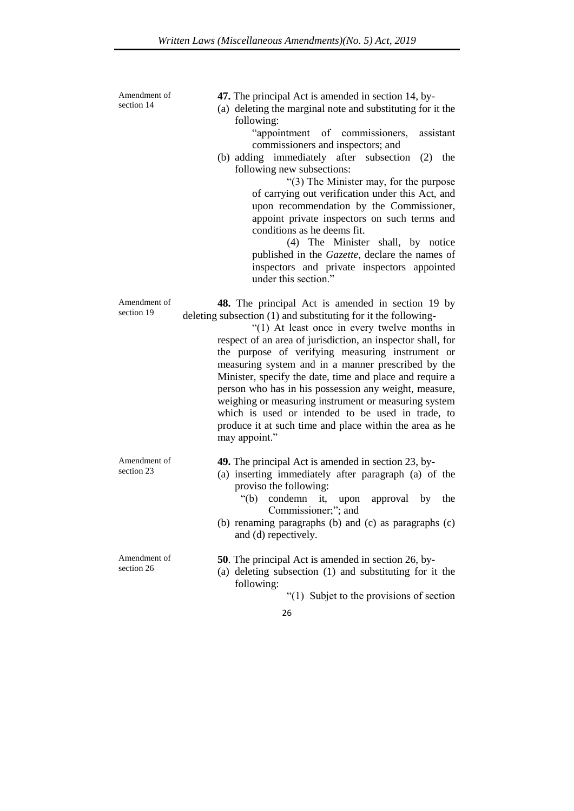Amendment of section 14

**47.** The principal Act is amended in section 14, by-

(a) deleting the marginal note and substituting for it the following:

> "appointment of commissioners, assistant commissioners and inspectors; and

(b) adding immediately after subsection (2) the following new subsections:

> "(3) The Minister may, for the purpose of carrying out verification under this Act, and upon recommendation by the Commissioner, appoint private inspectors on such terms and conditions as he deems fit.

> (4) The Minister shall, by notice published in the *Gazette*, declare the names of inspectors and private inspectors appointed under this section."

**48.** The principal Act is amended in section 19 by deleting subsection (1) and substituting for it the following-

> "(1) At least once in every twelve months in respect of an area of jurisdiction, an inspector shall, for the purpose of verifying measuring instrument or measuring system and in a manner prescribed by the Minister, specify the date, time and place and require a person who has in his possession any weight, measure, weighing or measuring instrument or measuring system which is used or intended to be used in trade, to produce it at such time and place within the area as he may appoint."

Amendment of section 23

Amendment of section 19

- **49.** The principal Act is amended in section 23, by-
- (a) inserting immediately after paragraph (a) of the proviso the following:
	- "(b) condemn it, upon approval by the Commissioner;"; and
- (b) renaming paragraphs (b) and (c) as paragraphs (c) and (d) repectively.

Amendment of section 26 **50**. The principal Act is amended in section 26, by- (a) deleting subsection (1) and substituting for it the following: "(1) Subjet to the provisions of section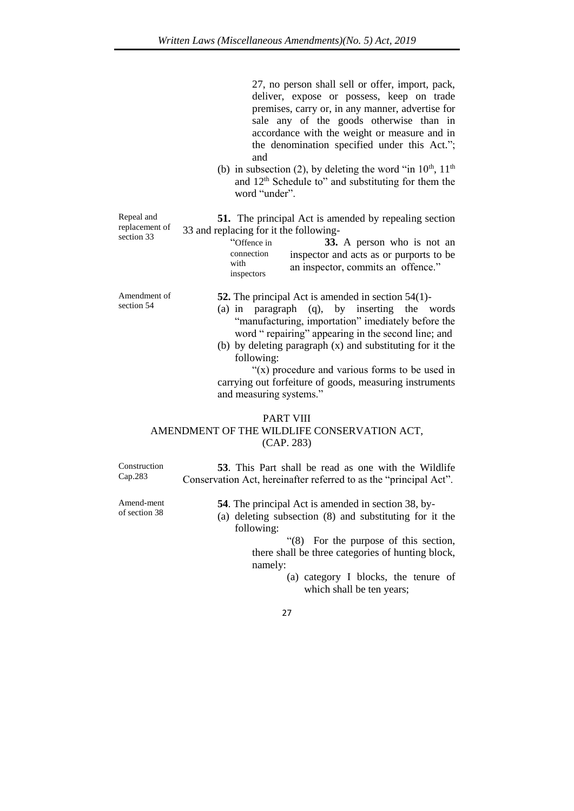27, no person shall sell or offer, import, pack, deliver, expose or possess, keep on trade premises, carry or, in any manner, advertise for sale any of the goods otherwise than in accordance with the weight or measure and in the denomination specified under this Act."; and

(b) in subsection (2), by deleting the word "in  $10^{th}$ ,  $11^{th}$ and 12th Schedule to" and substituting for them the word "under".

Repeal and replacement of section 33 **51.** The principal Act is amended by repealing section

> with inspectors

33 and replacing for it the following- "Offence in connection **33.** A person who is not an inspector and acts as or purports to be

Amendment of section 54

Cap.283

Amend-ment of section 38

- **52.** The principal Act is amended in section 54(1)-
- (a) in paragraph (q), by inserting the words "manufacturing, importation" imediately before the word " repairing" appearing in the second line; and

an inspector, commits an offence."

(b) by deleting paragraph (x) and substituting for it the following:

"(x) procedure and various forms to be used in carrying out forfeiture of goods, measuring instruments and measuring systems."

## PART VIII AMENDMENT OF THE WILDLIFE CONSERVATION ACT, (CAP. 283)

Construction **53**. This Part shall be read as one with the Wildlife Conservation Act, hereinafter referred to as the "principal Act".

**54**. The principal Act is amended in section 38, by-

(a) deleting subsection (8) and substituting for it the following:

> "(8) For the purpose of this section, there shall be three categories of hunting block, namely:

- (a) category I blocks, the tenure of which shall be ten years;
- 27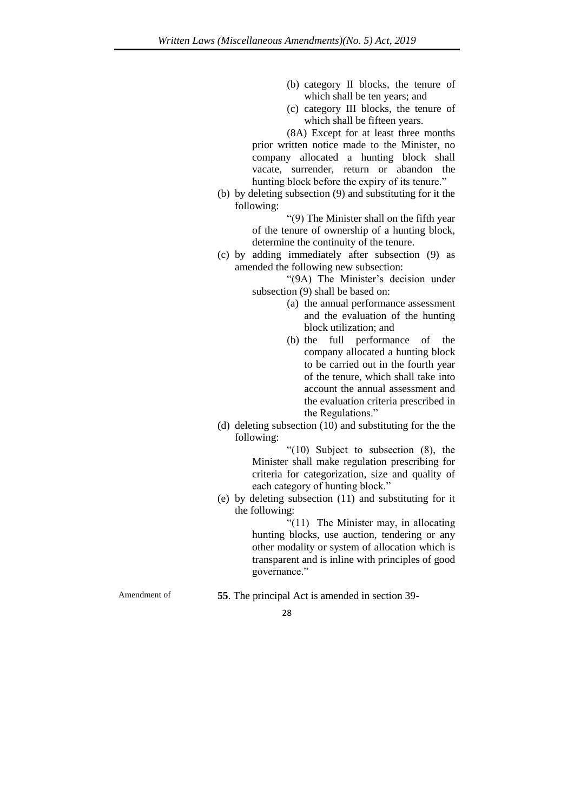- (b) category II blocks, the tenure of which shall be ten years; and
- (c) category III blocks, the tenure of which shall be fifteen years.

(8A) Except for at least three months prior written notice made to the Minister, no company allocated a hunting block shall vacate, surrender, return or abandon the hunting block before the expiry of its tenure."

(b) by deleting subsection (9) and substituting for it the following:

> "(9) The Minister shall on the fifth year of the tenure of ownership of a hunting block, determine the continuity of the tenure.

(c) by adding immediately after subsection (9) as amended the following new subsection:

> "(9A) The Minister's decision under subsection (9) shall be based on:

- (a) the annual performance assessment and the evaluation of the hunting block utilization; and
- (b) the full performance of the company allocated a hunting block to be carried out in the fourth year of the tenure, which shall take into account the annual assessment and the evaluation criteria prescribed in the Regulations."
- (d) deleting subsection (10) and substituting for the the following:

"(10) Subject to subsection (8), the Minister shall make regulation prescribing for criteria for categorization, size and quality of each category of hunting block."

(e) by deleting subsection (11) and substituting for it the following:

> "(11) The Minister may, in allocating hunting blocks, use auction, tendering or any other modality or system of allocation which is transparent and is inline with principles of good governance."

Amendment of **55**. The principal Act is amended in section 39-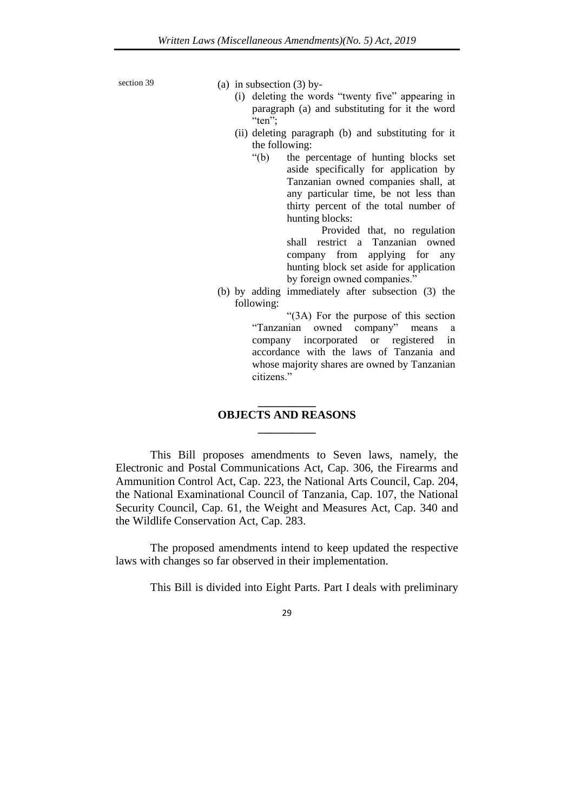section 39 (a) in subsection  $(3)$  by-

- (i) deleting the words "twenty five" appearing in paragraph (a) and substituting for it the word "ten";
- (ii) deleting paragraph (b) and substituting for it the following:
	- "(b) the percentage of hunting blocks set aside specifically for application by Tanzanian owned companies shall, at any particular time, be not less than thirty percent of the total number of hunting blocks:

Provided that, no regulation shall restrict a Tanzanian owned company from applying for any hunting block set aside for application by foreign owned companies."

(b) by adding immediately after subsection (3) the following:

"(3A) For the purpose of this section "Tanzanian owned company" means a company incorporated or registered in accordance with the laws of Tanzania and whose majority shares are owned by Tanzanian citizens<sup>"</sup>

## **\_\_\_\_\_\_\_\_\_\_ OBJECTS AND REASONS \_\_\_\_\_\_\_\_\_\_**

This Bill proposes amendments to Seven laws, namely, the Electronic and Postal Communications Act, Cap. 306, the Firearms and Ammunition Control Act, Cap. 223, the National Arts Council, Cap. 204, the National Examinational Council of Tanzania, Cap. 107, the National Security Council, Cap. 61, the Weight and Measures Act, Cap. 340 and the Wildlife Conservation Act, Cap. 283.

The proposed amendments intend to keep updated the respective laws with changes so far observed in their implementation.

This Bill is divided into Eight Parts. Part I deals with preliminary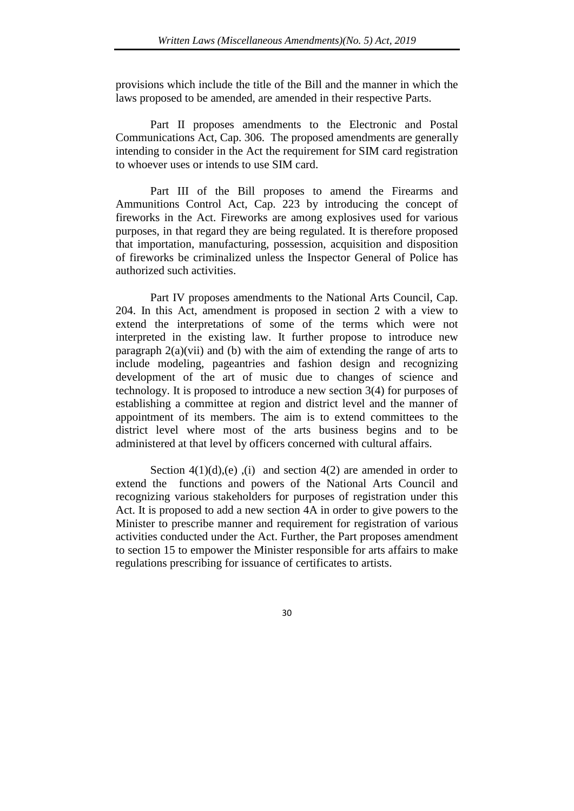provisions which include the title of the Bill and the manner in which the laws proposed to be amended, are amended in their respective Parts.

Part II proposes amendments to the Electronic and Postal Communications Act, Cap. 306. The proposed amendments are generally intending to consider in the Act the requirement for SIM card registration to whoever uses or intends to use SIM card.

Part III of the Bill proposes to amend the Firearms and Ammunitions Control Act, Cap. 223 by introducing the concept of fireworks in the Act. Fireworks are among explosives used for various purposes, in that regard they are being regulated. It is therefore proposed that importation, manufacturing, possession, acquisition and disposition of fireworks be criminalized unless the Inspector General of Police has authorized such activities.

Part IV proposes amendments to the National Arts Council, Cap. 204. In this Act, amendment is proposed in section 2 with a view to extend the interpretations of some of the terms which were not interpreted in the existing law. It further propose to introduce new paragraph  $2(a)(vii)$  and (b) with the aim of extending the range of arts to include modeling, pageantries and fashion design and recognizing development of the art of music due to changes of science and technology. It is proposed to introduce a new section 3(4) for purposes of establishing a committee at region and district level and the manner of appointment of its members. The aim is to extend committees to the district level where most of the arts business begins and to be administered at that level by officers concerned with cultural affairs.

Section  $4(1)(d)$ , (e), (i) and section  $4(2)$  are amended in order to extend the functions and powers of the National Arts Council and recognizing various stakeholders for purposes of registration under this Act. It is proposed to add a new section 4A in order to give powers to the Minister to prescribe manner and requirement for registration of various activities conducted under the Act. Further, the Part proposes amendment to section 15 to empower the Minister responsible for arts affairs to make regulations prescribing for issuance of certificates to artists.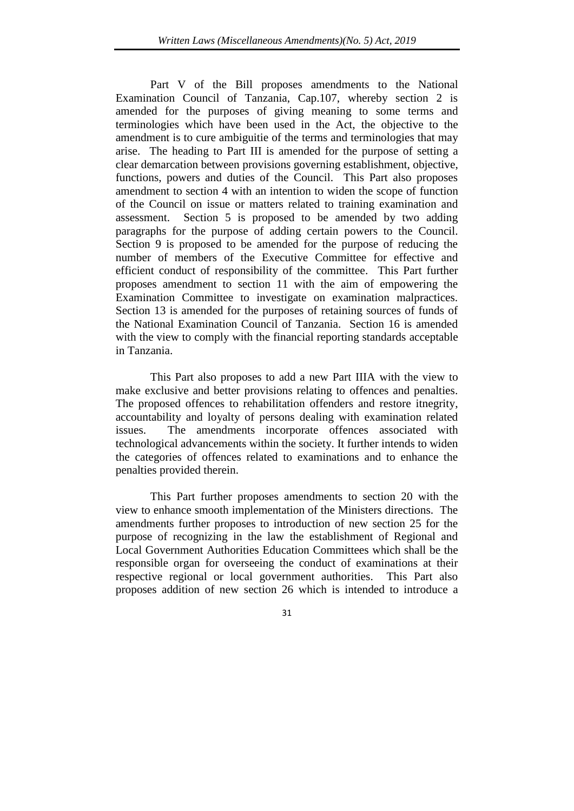Part V of the Bill proposes amendments to the National Examination Council of Tanzania, Cap.107, whereby section 2 is amended for the purposes of giving meaning to some terms and terminologies which have been used in the Act, the objective to the amendment is to cure ambiguitie of the terms and terminologies that may arise. The heading to Part III is amended for the purpose of setting a clear demarcation between provisions governing establishment, objective, functions, powers and duties of the Council. This Part also proposes amendment to section 4 with an intention to widen the scope of function of the Council on issue or matters related to training examination and assessment. Section 5 is proposed to be amended by two adding paragraphs for the purpose of adding certain powers to the Council. Section 9 is proposed to be amended for the purpose of reducing the number of members of the Executive Committee for effective and efficient conduct of responsibility of the committee. This Part further proposes amendment to section 11 with the aim of empowering the Examination Committee to investigate on examination malpractices. Section 13 is amended for the purposes of retaining sources of funds of the National Examination Council of Tanzania. Section 16 is amended with the view to comply with the financial reporting standards acceptable in Tanzania.

This Part also proposes to add a new Part IIIA with the view to make exclusive and better provisions relating to offences and penalties. The proposed offences to rehabilitation offenders and restore itnegrity, accountability and loyalty of persons dealing with examination related issues. The amendments incorporate offences associated with technological advancements within the society. It further intends to widen the categories of offences related to examinations and to enhance the penalties provided therein.

This Part further proposes amendments to section 20 with the view to enhance smooth implementation of the Ministers directions. The amendments further proposes to introduction of new section 25 for the purpose of recognizing in the law the establishment of Regional and Local Government Authorities Education Committees which shall be the responsible organ for overseeing the conduct of examinations at their respective regional or local government authorities. This Part also proposes addition of new section 26 which is intended to introduce a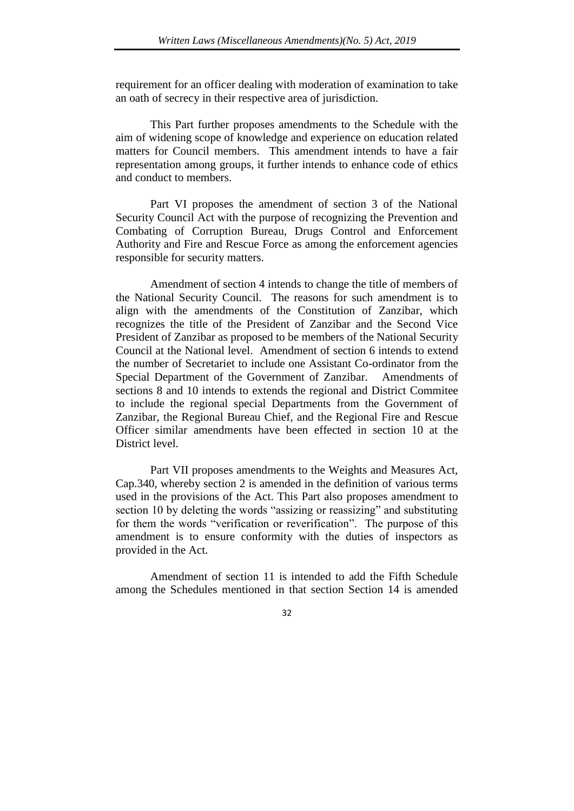requirement for an officer dealing with moderation of examination to take an oath of secrecy in their respective area of jurisdiction.

This Part further proposes amendments to the Schedule with the aim of widening scope of knowledge and experience on education related matters for Council members. This amendment intends to have a fair representation among groups, it further intends to enhance code of ethics and conduct to members.

Part VI proposes the amendment of section 3 of the National Security Council Act with the purpose of recognizing the Prevention and Combating of Corruption Bureau, Drugs Control and Enforcement Authority and Fire and Rescue Force as among the enforcement agencies responsible for security matters.

Amendment of section 4 intends to change the title of members of the National Security Council. The reasons for such amendment is to align with the amendments of the Constitution of Zanzibar, which recognizes the title of the President of Zanzibar and the Second Vice President of Zanzibar as proposed to be members of the National Security Council at the National level. Amendment of section 6 intends to extend the number of Secretariet to include one Assistant Co-ordinator from the Special Department of the Government of Zanzibar. Amendments of sections 8 and 10 intends to extends the regional and District Commitee to include the regional special Departments from the Government of Zanzibar, the Regional Bureau Chief, and the Regional Fire and Rescue Officer similar amendments have been effected in section 10 at the District level.

Part VII proposes amendments to the Weights and Measures Act, Cap.340, whereby section 2 is amended in the definition of various terms used in the provisions of the Act. This Part also proposes amendment to section 10 by deleting the words "assizing or reassizing" and substituting for them the words "verification or reverification". The purpose of this amendment is to ensure conformity with the duties of inspectors as provided in the Act.

Amendment of section 11 is intended to add the Fifth Schedule among the Schedules mentioned in that section Section 14 is amended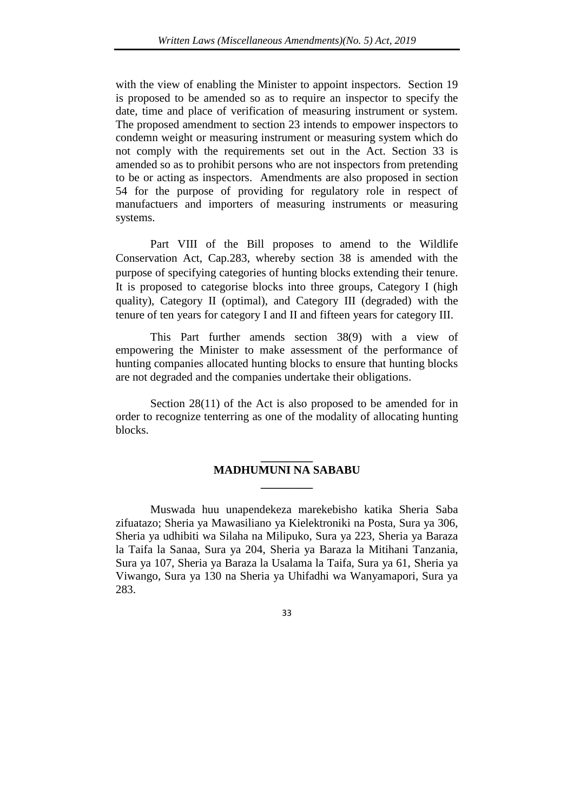with the view of enabling the Minister to appoint inspectors. Section 19 is proposed to be amended so as to require an inspector to specify the date, time and place of verification of measuring instrument or system. The proposed amendment to section 23 intends to empower inspectors to condemn weight or measuring instrument or measuring system which do not comply with the requirements set out in the Act. Section 33 is amended so as to prohibit persons who are not inspectors from pretending to be or acting as inspectors. Amendments are also proposed in section 54 for the purpose of providing for regulatory role in respect of manufactuers and importers of measuring instruments or measuring systems.

Part VIII of the Bill proposes to amend to the Wildlife Conservation Act, Cap.283, whereby section 38 is amended with the purpose of specifying categories of hunting blocks extending their tenure. It is proposed to categorise blocks into three groups, Category I (high quality), Category II (optimal), and Category III (degraded) with the tenure of ten years for category I and II and fifteen years for category III.

This Part further amends section 38(9) with a view of empowering the Minister to make assessment of the performance of hunting companies allocated hunting blocks to ensure that hunting blocks are not degraded and the companies undertake their obligations.

Section 28(11) of the Act is also proposed to be amended for in order to recognize tenterring as one of the modality of allocating hunting blocks.

## **\_\_\_\_\_\_\_\_\_ MADHUMUNI NA SABABU \_\_\_\_\_\_\_\_\_**

Muswada huu unapendekeza marekebisho katika Sheria Saba zifuatazo; Sheria ya Mawasiliano ya Kielektroniki na Posta, Sura ya 306, Sheria ya udhibiti wa Silaha na Milipuko, Sura ya 223, Sheria ya Baraza la Taifa la Sanaa, Sura ya 204, Sheria ya Baraza la Mitihani Tanzania, Sura ya 107, Sheria ya Baraza la Usalama la Taifa, Sura ya 61, Sheria ya Viwango, Sura ya 130 na Sheria ya Uhifadhi wa Wanyamapori, Sura ya 283.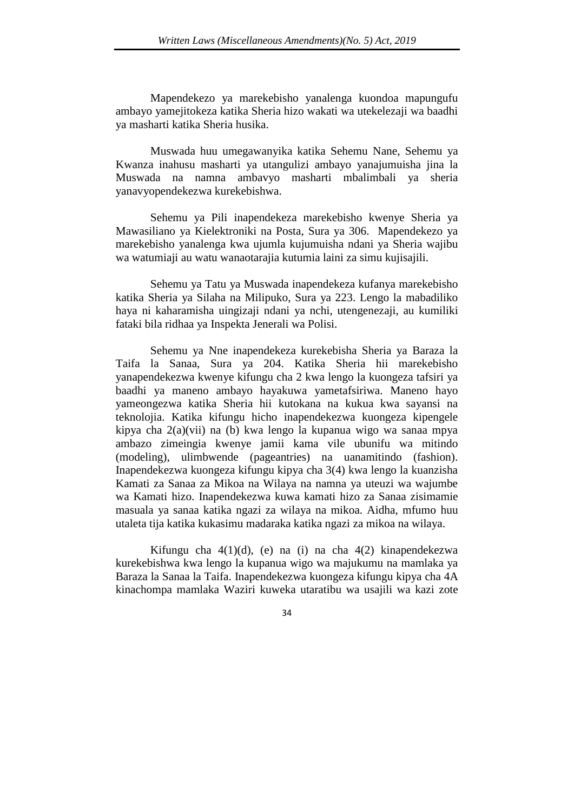Mapendekezo ya marekebisho yanalenga kuondoa mapungufu ambayo yamejitokeza katika Sheria hizo wakati wa utekelezaji wa baadhi ya masharti katika Sheria husika.

Muswada huu umegawanyika katika Sehemu Nane, Sehemu ya Kwanza inahusu masharti ya utangulizi ambayo yanajumuisha jina la Muswada na namna ambavyo masharti mbalimbali ya sheria yanavyopendekezwa kurekebishwa.

Sehemu ya Pili inapendekeza marekebisho kwenye Sheria ya Mawasiliano ya Kielektroniki na Posta, Sura ya 306. Mapendekezo ya marekebisho yanalenga kwa ujumla kujumuisha ndani ya Sheria wajibu wa watumiaji au watu wanaotarajia kutumia laini za simu kujisajili.

Sehemu ya Tatu ya Muswada inapendekeza kufanya marekebisho katika Sheria ya Silaha na Milipuko, Sura ya 223. Lengo la mabadiliko haya ni kaharamisha uingizaji ndani ya nchi, utengenezaji, au kumiliki fataki bila ridhaa ya Inspekta Jenerali wa Polisi.

Sehemu ya Nne inapendekeza kurekebisha Sheria ya Baraza la Taifa la Sanaa, Sura ya 204. Katika Sheria hii marekebisho yanapendekezwa kwenye kifungu cha 2 kwa lengo la kuongeza tafsiri ya baadhi ya maneno ambayo hayakuwa yametafsiriwa. Maneno hayo yameongezwa katika Sheria hii kutokana na kukua kwa sayansi na teknolojia. Katika kifungu hicho inapendekezwa kuongeza kipengele kipya cha 2(a)(vii) na (b) kwa lengo la kupanua wigo wa sanaa mpya ambazo zimeingia kwenye jamii kama vile ubunifu wa mitindo (modeling), ulimbwende (pageantries) na uanamitindo (fashion). Inapendekezwa kuongeza kifungu kipya cha 3(4) kwa lengo la kuanzisha Kamati za Sanaa za Mikoa na Wilaya na namna ya uteuzi wa wajumbe wa Kamati hizo. Inapendekezwa kuwa kamati hizo za Sanaa zisimamie masuala ya sanaa katika ngazi za wilaya na mikoa. Aidha, mfumo huu utaleta tija katika kukasimu madaraka katika ngazi za mikoa na wilaya.

Kifungu cha 4(1)(d), (e) na (i) na cha 4(2) kinapendekezwa kurekebishwa kwa lengo la kupanua wigo wa majukumu na mamlaka ya Baraza la Sanaa la Taifa. Inapendekezwa kuongeza kifungu kipya cha 4A kinachompa mamlaka Waziri kuweka utaratibu wa usajili wa kazi zote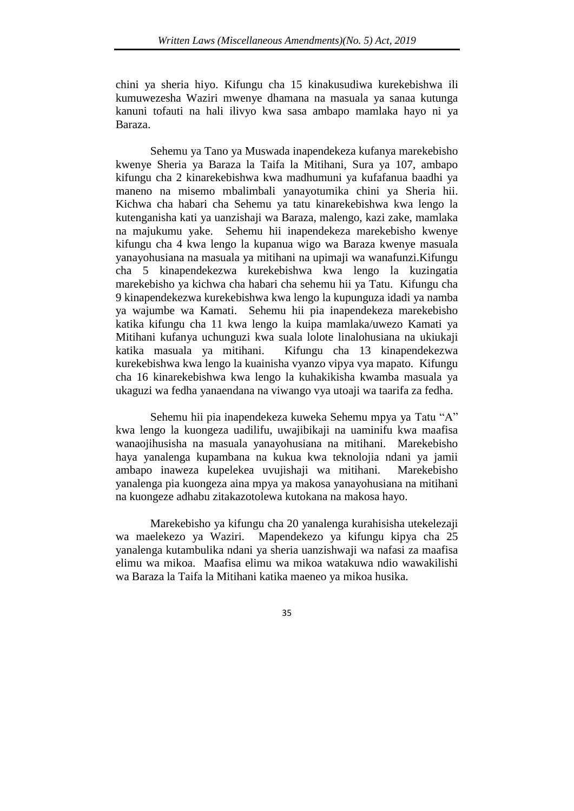chini ya sheria hiyo. Kifungu cha 15 kinakusudiwa kurekebishwa ili kumuwezesha Waziri mwenye dhamana na masuala ya sanaa kutunga kanuni tofauti na hali ilivyo kwa sasa ambapo mamlaka hayo ni ya Baraza.

Sehemu ya Tano ya Muswada inapendekeza kufanya marekebisho kwenye Sheria ya Baraza la Taifa la Mitihani, Sura ya 107, ambapo kifungu cha 2 kinarekebishwa kwa madhumuni ya kufafanua baadhi ya maneno na misemo mbalimbali yanayotumika chini ya Sheria hii. Kichwa cha habari cha Sehemu ya tatu kinarekebishwa kwa lengo la kutenganisha kati ya uanzishaji wa Baraza, malengo, kazi zake, mamlaka na majukumu yake. Sehemu hii inapendekeza marekebisho kwenye kifungu cha 4 kwa lengo la kupanua wigo wa Baraza kwenye masuala yanayohusiana na masuala ya mitihani na upimaji wa wanafunzi.Kifungu cha 5 kinapendekezwa kurekebishwa kwa lengo la kuzingatia marekebisho ya kichwa cha habari cha sehemu hii ya Tatu. Kifungu cha 9 kinapendekezwa kurekebishwa kwa lengo la kupunguza idadi ya namba ya wajumbe wa Kamati. Sehemu hii pia inapendekeza marekebisho katika kifungu cha 11 kwa lengo la kuipa mamlaka/uwezo Kamati ya Mitihani kufanya uchunguzi kwa suala lolote linalohusiana na ukiukaji katika masuala ya mitihani. Kifungu cha 13 kinapendekezwa kurekebishwa kwa lengo la kuainisha vyanzo vipya vya mapato. Kifungu cha 16 kinarekebishwa kwa lengo la kuhakikisha kwamba masuala ya ukaguzi wa fedha yanaendana na viwango vya utoaji wa taarifa za fedha.

Sehemu hii pia inapendekeza kuweka Sehemu mpya ya Tatu "A" kwa lengo la kuongeza uadilifu, uwajibikaji na uaminifu kwa maafisa wanaojihusisha na masuala yanayohusiana na mitihani. Marekebisho haya yanalenga kupambana na kukua kwa teknolojia ndani ya jamii ambapo inaweza kupelekea uvujishaji wa mitihani. Marekebisho yanalenga pia kuongeza aina mpya ya makosa yanayohusiana na mitihani na kuongeze adhabu zitakazotolewa kutokana na makosa hayo.

Marekebisho ya kifungu cha 20 yanalenga kurahisisha utekelezaji wa maelekezo ya Waziri. Mapendekezo ya kifungu kipya cha 25 yanalenga kutambulika ndani ya sheria uanzishwaji wa nafasi za maafisa elimu wa mikoa. Maafisa elimu wa mikoa watakuwa ndio wawakilishi wa Baraza la Taifa la Mitihani katika maeneo ya mikoa husika.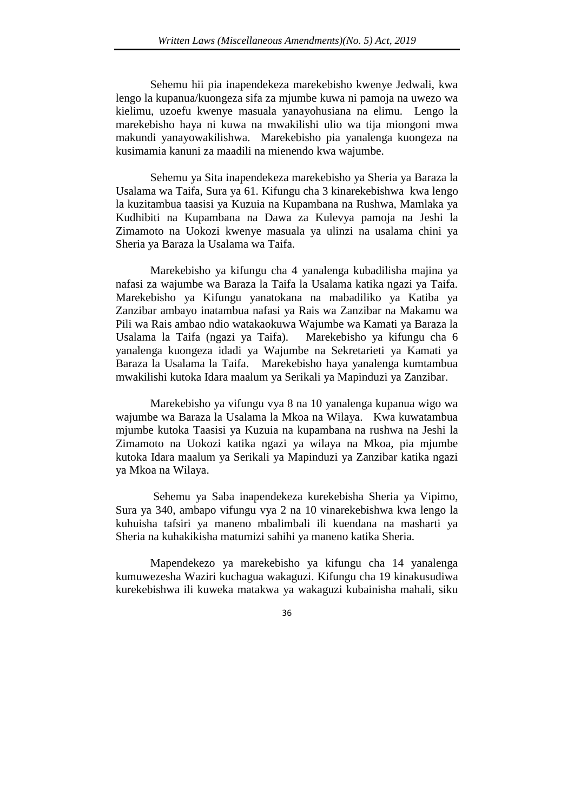Sehemu hii pia inapendekeza marekebisho kwenye Jedwali, kwa lengo la kupanua/kuongeza sifa za mjumbe kuwa ni pamoja na uwezo wa kielimu, uzoefu kwenye masuala yanayohusiana na elimu. Lengo la marekebisho haya ni kuwa na mwakilishi ulio wa tija miongoni mwa makundi yanayowakilishwa. Marekebisho pia yanalenga kuongeza na kusimamia kanuni za maadili na mienendo kwa wajumbe.

Sehemu ya Sita inapendekeza marekebisho ya Sheria ya Baraza la Usalama wa Taifa, Sura ya 61. Kifungu cha 3 kinarekebishwa kwa lengo la kuzitambua taasisi ya Kuzuia na Kupambana na Rushwa, Mamlaka ya Kudhibiti na Kupambana na Dawa za Kulevya pamoja na Jeshi la Zimamoto na Uokozi kwenye masuala ya ulinzi na usalama chini ya Sheria ya Baraza la Usalama wa Taifa.

Marekebisho ya kifungu cha 4 yanalenga kubadilisha majina ya nafasi za wajumbe wa Baraza la Taifa la Usalama katika ngazi ya Taifa. Marekebisho ya Kifungu yanatokana na mabadiliko ya Katiba ya Zanzibar ambayo inatambua nafasi ya Rais wa Zanzibar na Makamu wa Pili wa Rais ambao ndio watakaokuwa Wajumbe wa Kamati ya Baraza la Usalama la Taifa (ngazi ya Taifa). Marekebisho ya kifungu cha 6 yanalenga kuongeza idadi ya Wajumbe na Sekretarieti ya Kamati ya Baraza la Usalama la Taifa. Marekebisho haya yanalenga kumtambua mwakilishi kutoka Idara maalum ya Serikali ya Mapinduzi ya Zanzibar.

Marekebisho ya vifungu vya 8 na 10 yanalenga kupanua wigo wa wajumbe wa Baraza la Usalama la Mkoa na Wilaya. Kwa kuwatambua mjumbe kutoka Taasisi ya Kuzuia na kupambana na rushwa na Jeshi la Zimamoto na Uokozi katika ngazi ya wilaya na Mkoa, pia mjumbe kutoka Idara maalum ya Serikali ya Mapinduzi ya Zanzibar katika ngazi ya Mkoa na Wilaya.

Sehemu ya Saba inapendekeza kurekebisha Sheria ya Vipimo, Sura ya 340, ambapo vifungu vya 2 na 10 vinarekebishwa kwa lengo la kuhuisha tafsiri ya maneno mbalimbali ili kuendana na masharti ya Sheria na kuhakikisha matumizi sahihi ya maneno katika Sheria.

Mapendekezo ya marekebisho ya kifungu cha 14 yanalenga kumuwezesha Waziri kuchagua wakaguzi. Kifungu cha 19 kinakusudiwa kurekebishwa ili kuweka matakwa ya wakaguzi kubainisha mahali, siku